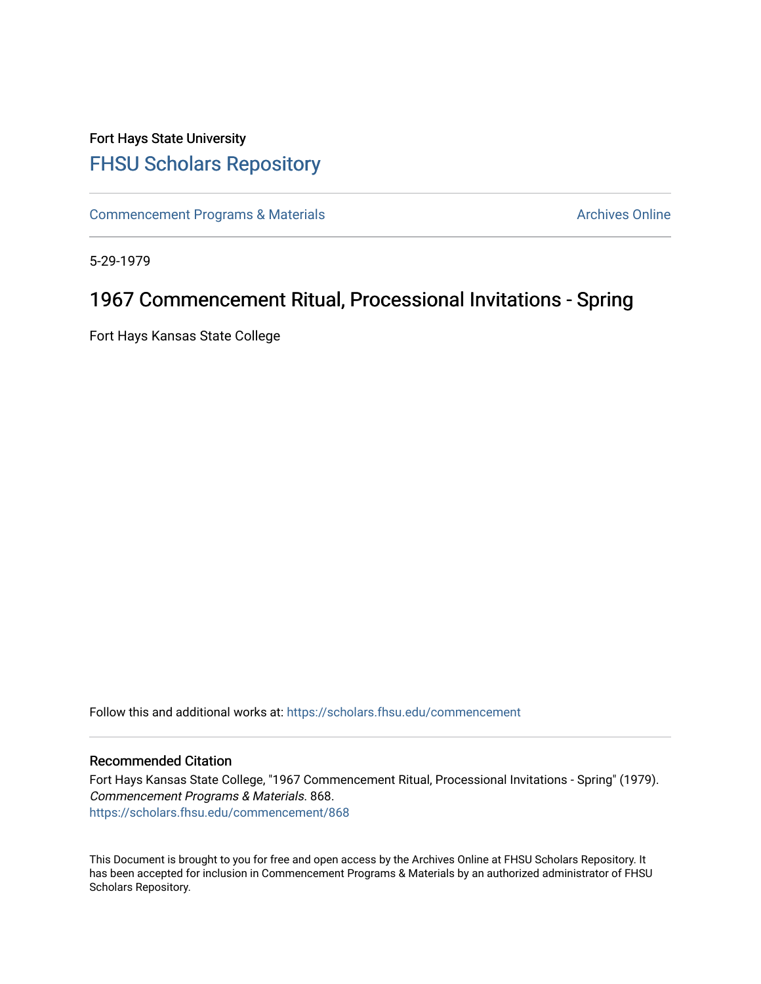## Fort Hays State University [FHSU Scholars Repository](https://scholars.fhsu.edu/)

[Commencement Programs & Materials](https://scholars.fhsu.edu/commencement) **Archives Online** Archives Online

5-29-1979

## 1967 Commencement Ritual, Processional Invitations - Spring

Fort Hays Kansas State College

Follow this and additional works at: [https://scholars.fhsu.edu/commencement](https://scholars.fhsu.edu/commencement?utm_source=scholars.fhsu.edu%2Fcommencement%2F868&utm_medium=PDF&utm_campaign=PDFCoverPages)

## Recommended Citation

Fort Hays Kansas State College, "1967 Commencement Ritual, Processional Invitations - Spring" (1979). Commencement Programs & Materials. 868. [https://scholars.fhsu.edu/commencement/868](https://scholars.fhsu.edu/commencement/868?utm_source=scholars.fhsu.edu%2Fcommencement%2F868&utm_medium=PDF&utm_campaign=PDFCoverPages)

This Document is brought to you for free and open access by the Archives Online at FHSU Scholars Repository. It has been accepted for inclusion in Commencement Programs & Materials by an authorized administrator of FHSU Scholars Repository.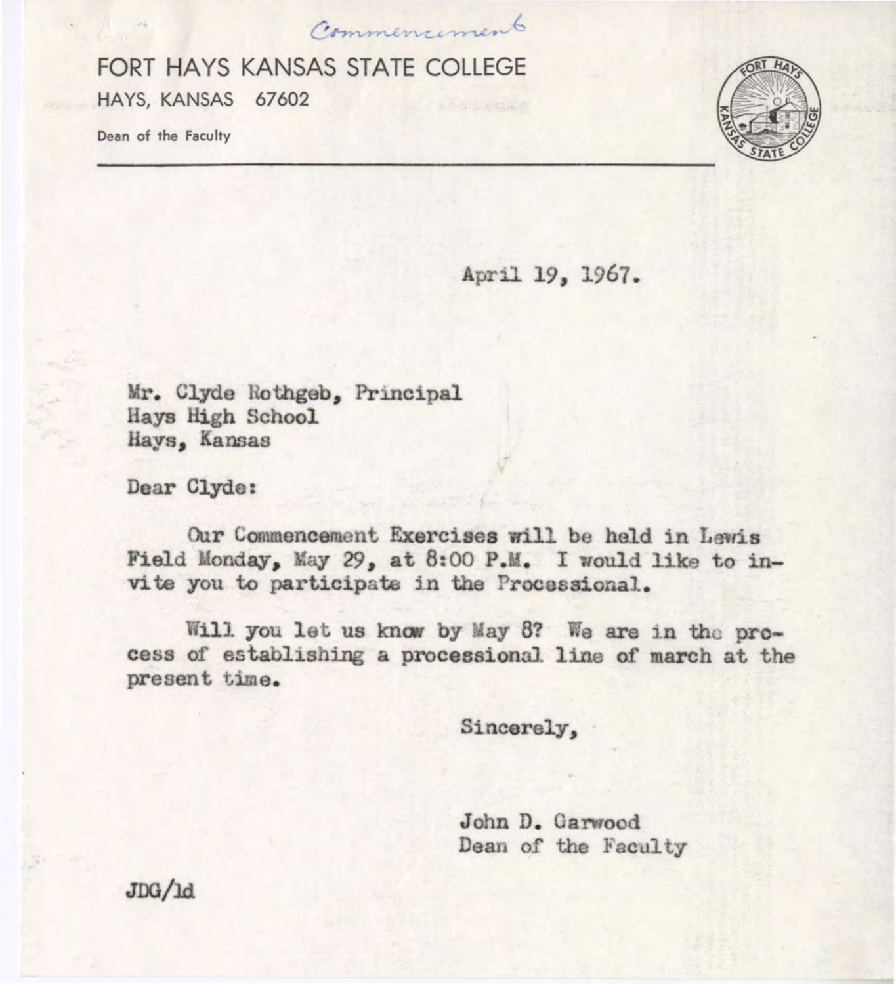Common en comment

FORT HAYS KANSAS STATE COLLEGE HAYS, KANSAS 67602

Dean of the Faculty



April 19, 1967.

**Mr.** Clydo Rothgeb, Principal Hays High School Hays, Kansas

Dear Clyde:

Our Commencement Exercises will be held in Lewis Field Monday, May 29, at 8:00 P.M. I would like to in-<br>vite you to participate in the Processional.

Will you let us know by May 8? We are in the process of establishing a processional line of march at the present time.

Sincerely,

John D. Garwood Dean of the Faculty

JOO/ld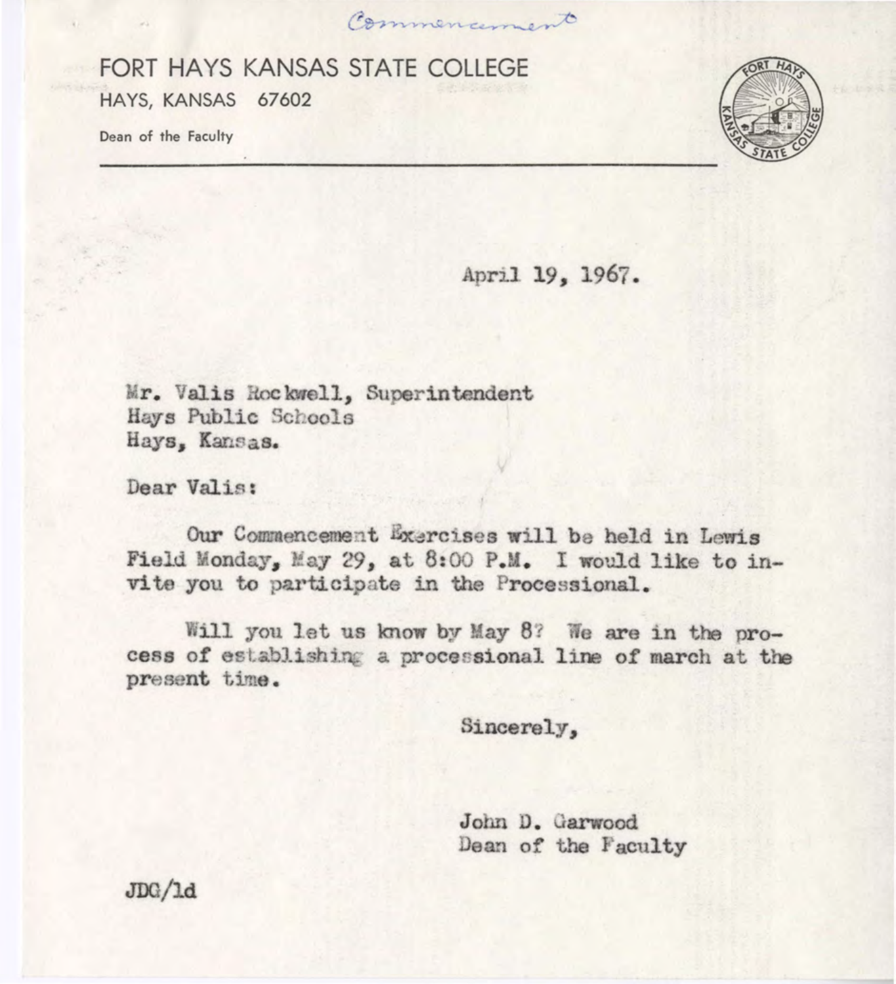FORT HAYS KANSAS STATE COLLEGE HAYS, KANSAS 67602

Dean of the Faculty



April 19, 1967.

Mr. Valis Rockwell, Superintendent Hays Public Schools Hays, Kansas.

Dear Valis :

Our Commencement Exercises will be held in Lewis Field Monday, May 29, at 8:00 P.M. I would like to invite you to participate in the Processional.

Commencer

Will you let us know by May 8? We are in the process of establishing a processional line of march at the present time .

Sincerely,

John D. Garwood Dean of the Faculty

JDG/ld